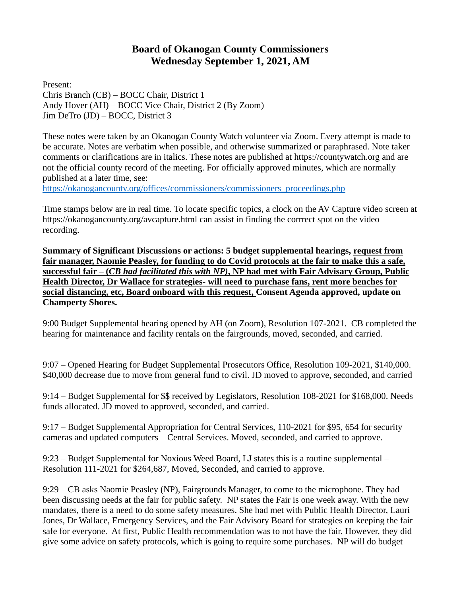## **Board of Okanogan County Commissioners Wednesday September 1, 2021, AM**

Present: Chris Branch (CB) – BOCC Chair, District 1 Andy Hover (AH) – BOCC Vice Chair, District 2 (By Zoom) Jim DeTro (JD) – BOCC, District 3

These notes were taken by an Okanogan County Watch volunteer via Zoom. Every attempt is made to be accurate. Notes are verbatim when possible, and otherwise summarized or paraphrased. Note taker comments or clarifications are in italics. These notes are published at [https://countywatch.org](https://countywatch.org/) and are not the official county record of the meeting. For officially approved minutes, which are normally published at a later time, see:

[https://okanogancounty.org/offices/commissioners/commissioners\\_proceedings.php](https://okanogancounty.org/offices/commissioners/commissioners_proceedings.php)

Time stamps below are in real time. To locate specific topics, a clock on the AV Capture video screen at <https://okanogancounty.org/avcapture.html> can assist in finding the corrrect spot on the video recording.

**Summary of Significant Discussions or actions: 5 budget supplemental hearings, request from fair manager, Naomie Peasley, for funding to do Covid protocols at the fair to make this a safe, successful fair – (***CB had facilitated this with NP)***, NP had met with Fair Advisary Group, Public Health Director, Dr Wallace for strategies- will need to purchase fans, rent more benches for social distancing, etc, Board onboard with this request, Consent Agenda approved, update on Champerty Shores.**

9:00 Budget Supplemental hearing opened by AH (on Zoom), Resolution 107-2021. CB completed the hearing for maintenance and facility rentals on the fairgrounds, moved, seconded, and carried.

9:07 – Opened Hearing for Budget Supplemental Prosecutors Office, Resolution 109-2021, \$140,000. \$40,000 decrease due to move from general fund to civil. JD moved to approve, seconded, and carried

9:14 – Budget Supplemental for \$\$ received by Legislators, Resolution 108-2021 for \$168,000. Needs funds allocated. JD moved to approved, seconded, and carried.

9:17 – Budget Supplemental Appropriation for Central Services, 110-2021 for \$95, 654 for security cameras and updated computers – Central Services. Moved, seconded, and carried to approve.

9:23 – Budget Supplemental for Noxious Weed Board, LJ states this is a routine supplemental – Resolution 111-2021 for \$264,687, Moved, Seconded, and carried to approve.

9:29 – CB asks Naomie Peasley (NP), Fairgrounds Manager, to come to the microphone. They had been discussing needs at the fair for public safety. NP states the Fair is one week away. With the new mandates, there is a need to do some safety measures. She had met with Public Health Director, Lauri Jones, Dr Wallace, Emergency Services, and the Fair Advisory Board for strategies on keeping the fair safe for everyone. At first, Public Health recommendation was to not have the fair. However, they did give some advice on safety protocols, which is going to require some purchases. NP will do budget